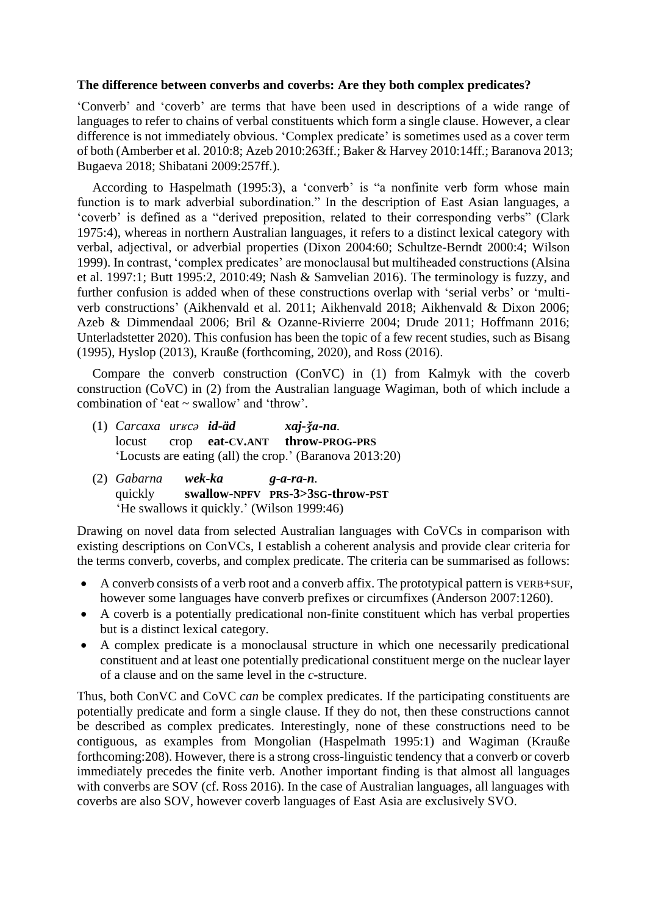## **The difference between converbs and coverbs: Are they both complex predicates?**

'Converb' and 'coverb' are terms that have been used in descriptions of a wide range of languages to refer to chains of verbal constituents which form a single clause. However, a clear difference is not immediately obvious. 'Complex predicate' is sometimes used as a cover term of both (Amberber et al. 2010:8; Azeb 2010:263ff.; Baker & Harvey 2010:14ff.; Baranova 2013; Bugaeva 2018; Shibatani 2009:257ff.).

According to Haspelmath (1995:3), a 'converb' is "a nonfinite verb form whose main function is to mark adverbial subordination." In the description of East Asian languages, a 'coverb' is defined as a "derived preposition, related to their corresponding verbs" (Clark 1975:4), whereas in northern Australian languages, it refers to a distinct lexical category with verbal, adjectival, or adverbial properties (Dixon 2004:60; Schultze-Berndt 2000:4; Wilson 1999). In contrast, 'complex predicates' are monoclausal but multiheaded constructions (Alsina et al. 1997:1; Butt 1995:2, 2010:49; Nash & Samvelian 2016). The terminology is fuzzy, and further confusion is added when of these constructions overlap with 'serial verbs' or 'multiverb constructions' (Aikhenvald et al. 2011; Aikhenvald 2018; Aikhenvald & Dixon 2006; Azeb & Dimmendaal 2006; Bril & Ozanne-Rivierre 2004; Drude 2011; Hoffmann 2016; Unterladstetter 2020). This confusion has been the topic of a few recent studies, such as Bisang (1995), Hyslop (2013), Krauße (forthcoming, 2020), and Ross (2016).

Compare the converb construction (ConVC) in (1) from Kalmyk with the coverb construction (CoVC) in (2) from the Australian language Wagiman, both of which include a combination of 'eat ~ swallow' and 'throw'.

- (1) *Carcaxa urʁcə id-äd xaj-ǯa-na.* locust crop **eat-CV.ANT throw-PROG-PRS** 'Locusts are eating (all) the crop.' (Baranova 2013:20)
- (2) *Gabarna wek-ka g-a-ra-n.* quickly **swallow-NPFV PRS-3>3SG-throw-PST** 'He swallows it quickly.' (Wilson 1999:46)

Drawing on novel data from selected Australian languages with CoVCs in comparison with existing descriptions on ConVCs, I establish a coherent analysis and provide clear criteria for the terms converb, coverbs, and complex predicate. The criteria can be summarised as follows:

- A converb consists of a verb root and a converb affix. The prototypical pattern is VERB+SUF, however some languages have converb prefixes or circumfixes (Anderson 2007:1260).
- A coverb is a potentially predicational non-finite constituent which has verbal properties but is a distinct lexical category.
- A complex predicate is a monoclausal structure in which one necessarily predicational constituent and at least one potentially predicational constituent merge on the nuclear layer of a clause and on the same level in the *c*-structure.

Thus, both ConVC and CoVC *can* be complex predicates. If the participating constituents are potentially predicate and form a single clause. If they do not, then these constructions cannot be described as complex predicates. Interestingly, none of these constructions need to be contiguous, as examples from Mongolian (Haspelmath 1995:1) and Wagiman (Krauße forthcoming:208). However, there is a strong cross-linguistic tendency that a converb or coverb immediately precedes the finite verb. Another important finding is that almost all languages with converbs are SOV (cf. Ross 2016). In the case of Australian languages, all languages with coverbs are also SOV, however coverb languages of East Asia are exclusively SVO.